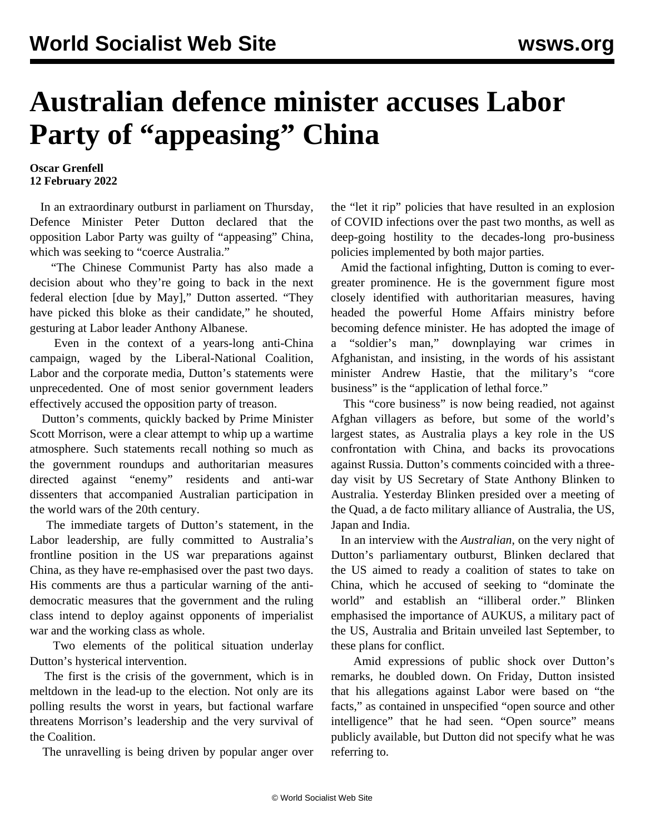## **Australian defence minister accuses Labor Party of "appeasing" China**

## **Oscar Grenfell 12 February 2022**

 In an extraordinary outburst in parliament on Thursday, Defence Minister Peter Dutton declared that the opposition Labor Party was guilty of "appeasing" China, which was seeking to "coerce Australia."

 "The Chinese Communist Party has also made a decision about who they're going to back in the next federal election [due by May]," Dutton asserted. "They have picked this bloke as their candidate," he shouted, gesturing at Labor leader Anthony Albanese.

 Even in the context of a years-long anti-China campaign, waged by the Liberal-National Coalition, Labor and the corporate media, Dutton's statements were unprecedented. One of most senior government leaders effectively accused the opposition party of treason.

 Dutton's comments, quickly backed by Prime Minister Scott Morrison, were a clear attempt to whip up a wartime atmosphere. Such statements recall nothing so much as the government roundups and authoritarian measures directed against "enemy" residents and anti-war dissenters that accompanied Australian participation in the world wars of the 20th century.

 The immediate targets of Dutton's statement, in the Labor leadership, are fully committed to Australia's frontline position in the US war preparations against China, as they have re-emphasised over the past two days. His comments are thus a particular warning of the antidemocratic measures that the government and the ruling class intend to deploy against opponents of imperialist war and the working class as whole.

 Two elements of the political situation underlay Dutton's hysterical intervention.

 The first is the crisis of the government, which is in meltdown in the lead-up to the election. Not only are its polling results the worst in years, but factional warfare threatens Morrison's leadership and the very survival of the Coalition.

The unravelling is being driven by popular anger over

the "let it rip" policies that have resulted in an explosion of COVID infections over the past two months, as well as deep-going hostility to the decades-long pro-business policies implemented by both major parties.

 Amid the factional infighting, Dutton is coming to evergreater prominence. He is the government figure most closely identified with authoritarian measures, having headed the powerful Home Affairs ministry before becoming defence minister. He has adopted the image of a "soldier's man," downplaying war crimes in Afghanistan, and insisting, in the words of his assistant minister Andrew Hastie, that the military's "core business" is the "application of lethal force."

 This "core business" is now being readied, not against Afghan villagers as before, but some of the world's largest states, as Australia plays a key role in the US confrontation with China, and backs its provocations against Russia. Dutton's comments coincided with a threeday visit by US Secretary of State Anthony Blinken to Australia. Yesterday Blinken presided over a meeting of the Quad, a de facto military alliance of Australia, the US, Japan and India.

 In an interview with the *Australian*, on the very night of Dutton's parliamentary outburst, Blinken declared that the US aimed to ready a coalition of states to take on China, which he accused of seeking to "dominate the world" and establish an "illiberal order." Blinken emphasised the importance of AUKUS, a military pact of the US, Australia and Britain unveiled last September, to these plans for conflict.

 Amid expressions of public shock over Dutton's remarks, he doubled down. On Friday, Dutton insisted that his allegations against Labor were based on "the facts," as contained in unspecified "open source and other intelligence" that he had seen. "Open source" means publicly available, but Dutton did not specify what he was referring to.